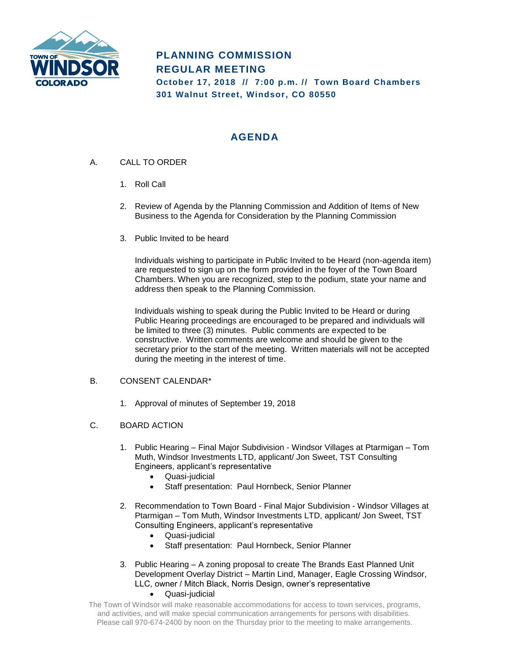

# **PLANNING COMMISSION REGULAR MEETING October 17, 2018 // 7:00 p.m. // Town Board Chambers 301 Walnut Street, Windsor, CO 80550**

# **AGENDA**

- A. CALL TO ORDER
	- 1. Roll Call
	- 2. Review of Agenda by the Planning Commission and Addition of Items of New Business to the Agenda for Consideration by the Planning Commission
	- 3. Public Invited to be heard

Individuals wishing to participate in Public Invited to be Heard (non-agenda item) are requested to sign up on the form provided in the foyer of the Town Board Chambers. When you are recognized, step to the podium, state your name and address then speak to the Planning Commission.

Individuals wishing to speak during the Public Invited to be Heard or during Public Hearing proceedings are encouraged to be prepared and individuals will be limited to three (3) minutes. Public comments are expected to be constructive. Written comments are welcome and should be given to the secretary prior to the start of the meeting. Written materials will not be accepted during the meeting in the interest of time.

### B. CONSENT CALENDAR\*

1. Approval of minutes of September 19, 2018

### C. BOARD ACTION

- 1. Public Hearing Final Major Subdivision Windsor Villages at Ptarmigan Tom Muth, Windsor Investments LTD, applicant/ Jon Sweet, TST Consulting Engineers, applicant's representative
	- Quasi-judicial
	- Staff presentation: Paul Hornbeck, Senior Planner
- 2. Recommendation to Town Board Final Major Subdivision Windsor Villages at Ptarmigan – Tom Muth, Windsor Investments LTD, applicant/ Jon Sweet, TST Consulting Engineers, applicant's representative
	- Quasi-judicial
	- Staff presentation: Paul Hornbeck, Senior Planner
- 3. Public Hearing A zoning proposal to create The Brands East Planned Unit Development Overlay District – Martin Lind, Manager, Eagle Crossing Windsor, LLC, owner / Mitch Black, Norris Design, owner's representative • Quasi-judicial
- The Town of Windsor will make reasonable accommodations for access to town services, programs, and activities, and will make special communication arrangements for persons with disabilities. Please call 970-674-2400 by noon on the Thursday prior to the meeting to make arrangements.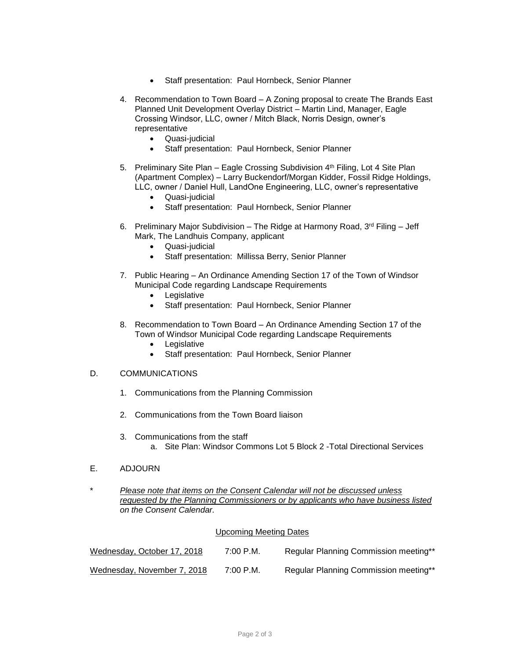- Staff presentation: Paul Hornbeck, Senior Planner
- 4. Recommendation to Town Board A Zoning proposal to create The Brands East Planned Unit Development Overlay District – Martin Lind, Manager, Eagle Crossing Windsor, LLC, owner / Mitch Black, Norris Design, owner's representative
	- Quasi-judicial
	- Staff presentation: Paul Hornbeck, Senior Planner
- 5. Preliminary Site Plan Eagle Crossing Subdivision 4<sup>th</sup> Filing, Lot 4 Site Plan (Apartment Complex) – Larry Buckendorf/Morgan Kidder, Fossil Ridge Holdings, LLC, owner / Daniel Hull, LandOne Engineering, LLC, owner's representative
	- Quasi-judicial
	- Staff presentation: Paul Hornbeck, Senior Planner
- 6. Preliminary Major Subdivision The Ridge at Harmony Road,  $3^{rd}$  Filing Jeff Mark, The Landhuis Company, applicant
	- Quasi-judicial
	- Staff presentation: Millissa Berry, Senior Planner
- 7. Public Hearing An Ordinance Amending Section 17 of the Town of Windsor Municipal Code regarding Landscape Requirements
	- Legislative
	- Staff presentation: Paul Hornbeck, Senior Planner
- 8. Recommendation to Town Board An Ordinance Amending Section 17 of the Town of Windsor Municipal Code regarding Landscape Requirements
	- Legislative
	- Staff presentation: Paul Hornbeck, Senior Planner

#### D. COMMUNICATIONS

- 1. Communications from the Planning Commission
- 2. Communications from the Town Board liaison
- 3. Communications from the staff a. Site Plan: Windsor Commons Lot 5 Block 2 -Total Directional Services
- E. ADJOURN
- \* *Please note that items on the Consent Calendar will not be discussed unless requested by the Planning Commissioners or by applicants who have business listed on the Consent Calendar.*

#### Upcoming Meeting Dates

| Wednesday, October 17, 2018 | 7:00 P.M. | Regular Planning Commission meeting** |
|-----------------------------|-----------|---------------------------------------|
| Wednesday, November 7, 2018 | 7:00 P.M. | Regular Planning Commission meeting** |